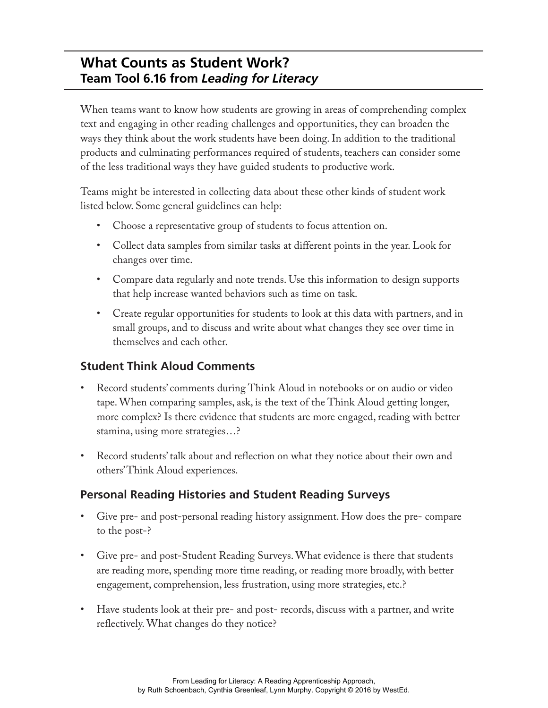# **What Counts as Student Work? Team Tool 6.16 from** *Leading for Literacy*

When teams want to know how students are growing in areas of comprehending complex text and engaging in other reading challenges and opportunities, they can broaden the ways they think about the work students have been doing. In addition to the traditional products and culminating performances required of students, teachers can consider some of the less traditional ways they have guided students to productive work.

Teams might be interested in collecting data about these other kinds of student work listed below. Some general guidelines can help:

- Choose a representative group of students to focus attention on.
- Collect data samples from similar tasks at different points in the year. Look for changes over time.
- Compare data regularly and note trends. Use this information to design supports that help increase wanted behaviors such as time on task.
- Create regular opportunities for students to look at this data with partners, and in small groups, and to discuss and write about what changes they see over time in themselves and each other.

## **Student Think Aloud Comments**

- Record students' comments during Think Aloud in notebooks or on audio or video tape. When comparing samples, ask, is the text of the Think Aloud getting longer, more complex? Is there evidence that students are more engaged, reading with better stamina, using more strategies…?
- Record students' talk about and reflection on what they notice about their own and others' Think Aloud experiences.

## **Personal Reading Histories and Student Reading Surveys**

- Give pre- and post-personal reading history assignment. How does the pre- compare to the post-?
- Give pre- and post-Student Reading Surveys. What evidence is there that students are reading more, spending more time reading, or reading more broadly, with better engagement, comprehension, less frustration, using more strategies, etc.?
- Have students look at their pre- and post- records, discuss with a partner, and write reflectively. What changes do they notice?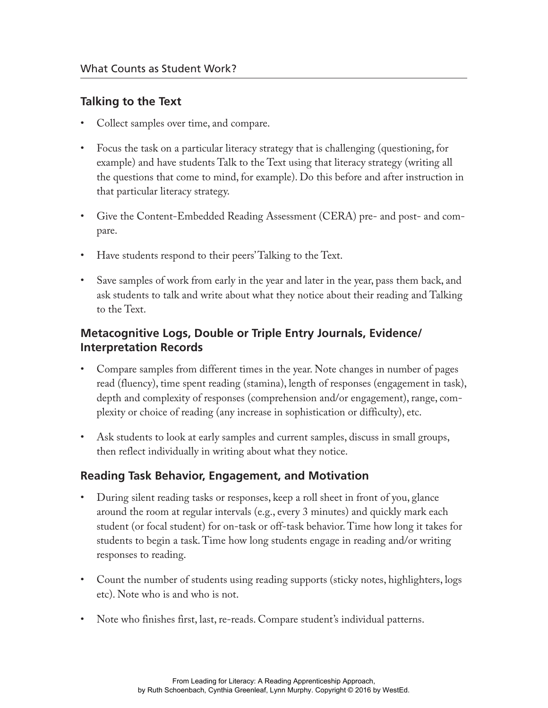#### **Talking to the Text**

- Collect samples over time, and compare.
- Focus the task on a particular literacy strategy that is challenging (questioning, for example) and have students Talk to the Text using that literacy strategy (writing all the questions that come to mind, for example). Do this before and after instruction in that particular literacy strategy.
- Give the Content-Embedded Reading Assessment (CERA) pre- and post- and compare.
- Have students respond to their peers' Talking to the Text.
- Save samples of work from early in the year and later in the year, pass them back, and ask students to talk and write about what they notice about their reading and Talking to the Text.

### **Metacognitive Logs, Double or Triple Entry Journals, Evidence/ Interpretation Records**

- Compare samples from different times in the year. Note changes in number of pages read (fluency), time spent reading (stamina), length of responses (engagement in task), depth and complexity of responses (comprehension and/or engagement), range, complexity or choice of reading (any increase in sophistication or difficulty), etc.
- Ask students to look at early samples and current samples, discuss in small groups, then reflect individually in writing about what they notice.

### **Reading Task Behavior, Engagement, and Motivation**

- During silent reading tasks or responses, keep a roll sheet in front of you, glance around the room at regular intervals (e.g., every 3 minutes) and quickly mark each student (or focal student) for on-task or off-task behavior. Time how long it takes for students to begin a task. Time how long students engage in reading and/or writing responses to reading.
- Count the number of students using reading supports (sticky notes, highlighters, logs etc). Note who is and who is not.
- Note who finishes first, last, re-reads. Compare student's individual patterns.